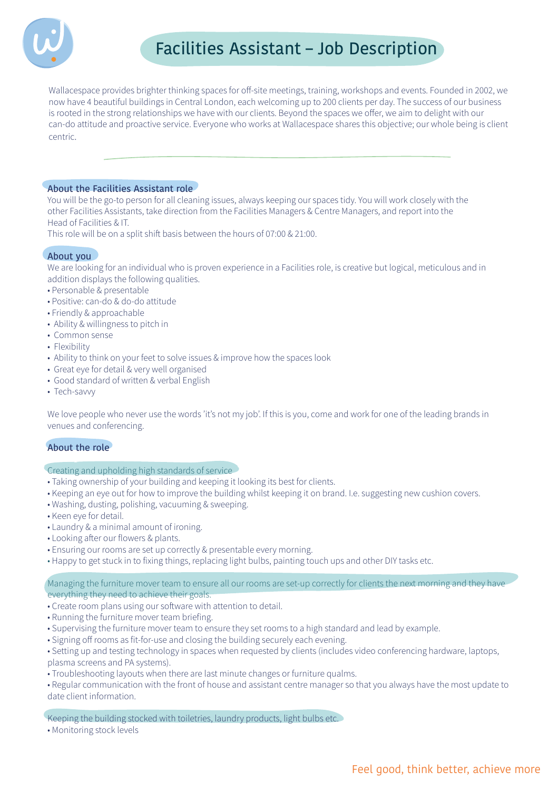

Wallacespace provides brighter thinking spaces for off-site meetings, training, workshops and events. Founded in 2002, we now have 4 beautiful buildings in Central London, each welcoming up to 200 clients per day. The success of our business is rooted in the strong relationships we have with our clients. Beyond the spaces we offer, we aim to delight with our can-do attitude and proactive service. Everyone who works at Wallacespace shares this objective; our whole being is client centric.

## About the Facilities Assistant role

You will be the go-to person for all cleaning issues, always keeping our spaces tidy. You will work closely with the other Facilities Assistants, take direction from the Facilities Managers & Centre Managers, and report into the Head of Facilities & IT.

This role will be on a split shift basis between the hours of 07:00 & 21:00.

# About you

We are looking for an individual who is proven experience in a Facilities role, is creative but logical, meticulous and in addition displays the following qualities.

- · Personable & presentable
- Positive: can-do & do-do attitude
- Friendly & approachable
- Ability & willingness to pitch in
- Common sense
- Flexibility
- Ability to think on your feet to solve issues & improve how the spaces look
- Great eye for detail & very well organised
- · Good standard of written & verbal English
- Tech-savvy

We love people who never use the words 'it's not my job'. If this is you, come and work for one of the leading brands in venues and conferencing.

# About the role

## Creating and upholding high standards of service

- Taking ownership of your building and keeping it looking its best for clients.
- Keeping an eye out for how to improve the building whilst keeping it on brand. I.e. suggesting new cushion covers.
- . Washing, dusting, polishing, vacuuming & sweeping.
- Keen eye for detail.
- Laundry & a minimal amount of ironing.
- Looking after our flowers & plants.
- . Ensuring our rooms are set up correctly & presentable every morning.
- . Happy to get stuck in to fixing things, replacing light bulbs, painting touch ups and other DIY tasks etc.

Managing the furniture mover team to ensure all our rooms are set-up correctly for clients the next morning and they have everything they need to achieve their goals.

- Create room plans using our software with attention to detail.
- Running the furniture mover team briefing.
- Supervising the furniture mover team to ensure they set rooms to a high standard and lead by example.
- Signing off rooms as fit-for-use and closing the building securely each evening.
- · Setting up and testing technology in spaces when requested by clients (includes video conferencing hardware, laptops, plasma screens and PA systems).
- Troubleshooting layouts when there are last minute changes or furniture qualms.
- Regular communication with the front of house and assistant centre manager so that you always have the most update to date client information.

Keeping the building stocked with toiletries, laundry products, light bulbs etc.

• Monitoring stock levels